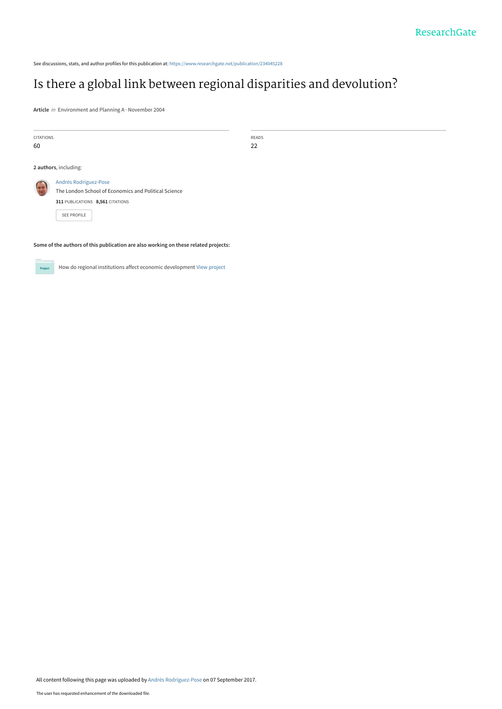See discussions, stats, and author profiles for this publication at: [https://www.researchgate.net/publication/234045228](https://www.researchgate.net/publication/234045228_Is_there_a_global_link_between_regional_disparities_and_devolution?enrichId=rgreq-5ea6a994f9ef09555e44ba94e139dbc0-XXX&enrichSource=Y292ZXJQYWdlOzIzNDA0NTIyODtBUzo1MzU3NDk2NjcyNDE5ODlAMTUwNDc0NDA4MjczMQ%3D%3D&el=1_x_2&_esc=publicationCoverPdf)

# [Is there a global link between regional disparities and devolution?](https://www.researchgate.net/publication/234045228_Is_there_a_global_link_between_regional_disparities_and_devolution?enrichId=rgreq-5ea6a994f9ef09555e44ba94e139dbc0-XXX&enrichSource=Y292ZXJQYWdlOzIzNDA0NTIyODtBUzo1MzU3NDk2NjcyNDE5ODlAMTUwNDc0NDA4MjczMQ%3D%3D&el=1_x_3&_esc=publicationCoverPdf)

**Article** in Environment and Planning A · November 2004

| <b>CITATIONS</b>                                                                    |                                                      | READS |  |  |  |  |
|-------------------------------------------------------------------------------------|------------------------------------------------------|-------|--|--|--|--|
| 60                                                                                  |                                                      | 22    |  |  |  |  |
|                                                                                     |                                                      |       |  |  |  |  |
| 2 authors, including:                                                               |                                                      |       |  |  |  |  |
|                                                                                     | Andrés Rodríguez-Pose                                |       |  |  |  |  |
|                                                                                     | The London School of Economics and Political Science |       |  |  |  |  |
|                                                                                     | 311 PUBLICATIONS 8,561 CITATIONS                     |       |  |  |  |  |
|                                                                                     | <b>SEE PROFILE</b>                                   |       |  |  |  |  |
|                                                                                     |                                                      |       |  |  |  |  |
| Some of the authors of this publication are also working on these related projects: |                                                      |       |  |  |  |  |

How do regional institutions affect economic development [View project](https://www.researchgate.net/project/How-do-regional-institutions-affect-economic-development?enrichId=rgreq-5ea6a994f9ef09555e44ba94e139dbc0-XXX&enrichSource=Y292ZXJQYWdlOzIzNDA0NTIyODtBUzo1MzU3NDk2NjcyNDE5ODlAMTUwNDc0NDA4MjczMQ%3D%3D&el=1_x_9&_esc=publicationCoverPdf)

All content following this page was uploaded by [Andrés Rodríguez-Pose](https://www.researchgate.net/profile/Andres_Rodriguez-Pose?enrichId=rgreq-5ea6a994f9ef09555e44ba94e139dbc0-XXX&enrichSource=Y292ZXJQYWdlOzIzNDA0NTIyODtBUzo1MzU3NDk2NjcyNDE5ODlAMTUwNDc0NDA4MjczMQ%3D%3D&el=1_x_10&_esc=publicationCoverPdf) on 07 September 2017.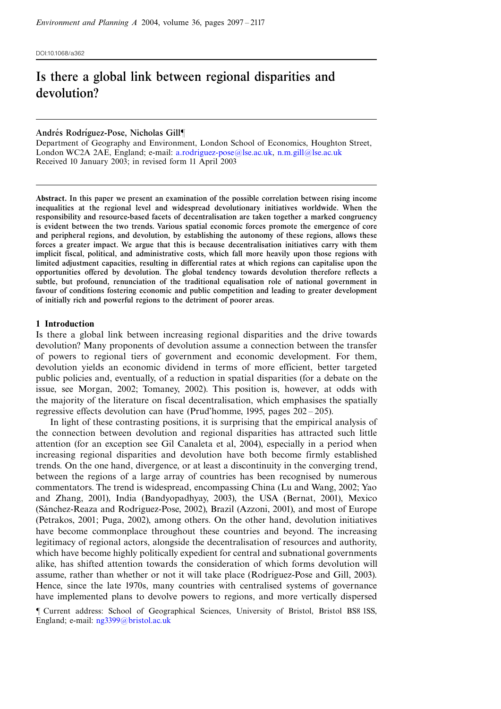DOI:10.1068/a362

# Is there a global link between regional disparities and devolution?

#### Andrés Rodríguez-Pose, Nicholas Gill¶

Department of Geography and Environment, London School of Economics, Houghton Street, London WC2A 2AE, England; e-mail: [a.rodriguez-pose@lse.ac.uk,](mailto:a.rodriguez-pose@lse.ac.uk) [n.m.gill@lse.ac.uk](mailto:n.m.gill@lse.ac.uk) Received 10 January 2003; in revised form 11 April 2003

Abstract. In this paper we present an examination of the possible correlation between rising income inequalities at the regional level and widespread devolutionary initiatives worldwide. When the responsibility and resource-based facets of decentralisation are taken together a marked congruency is evident between the two trends. Various spatial economic forces promote the emergence of core and peripheral regions, and devolution, by establishing the autonomy of these regions, allows these forces a greater impact. We argue that this is because decentralisation initiatives carry with them implicit fiscal, political, and administrative costs, which fall more heavily upon those regions with limited adjustment capacities, resulting in differential rates at which regions can capitalise upon the opportunities offered by devolution. The global tendency towards devolution therefore reflects a subtle, but profound, renunciation of the traditional equalisation role of national government in favour of conditions fostering economic and public competition and leading to greater development of initially rich and powerful regions to the detriment of poorer areas.

#### 1 Introduction

Is there a global link between increasing regional disparities and the drive towards devolution? Many proponents of devolution assume a connection between the transfer of powers to regional tiers of government and economic development. For them, devolution yields an economic dividend in terms of more efficient, better targeted public policies and, eventually, of a reduction in spatial disparities (for a debate on the issue, see Morgan, 2002; Tomaney, 2002). This position is, however, at odds with the majority of the literature on fiscal decentralisation, which emphasises the spatially regressive effects devolution can have (Prud'homme, 1995, pages  $202 - 205$ ).

In light of these contrasting positions, it is surprising that the empirical analysis of the connection between devolution and regional disparities has attracted such little attention (for an exception see Gil Canaleta et al, 2004), especially in a period when increasing regional disparities and devolution have both become firmly established trends. On the one hand, divergence, or at least a discontinuity in the converging trend, between the regions of a large array of countries has been recognised by numerous commentators. The trend is widespread, encompassing China (Lu and Wang, 2002; Yao and Zhang, 2001), India (Bandyopadhyay, 2003), the USA (Bernat, 2001), Mexico (Sánchez-Reaza and Rodríguez-Pose, 2002), Brazil (Azzoni, 2001), and most of Europe (Petrakos, 2001; Puga, 2002), among others. On the other hand, devolution initiatives have become commonplace throughout these countries and beyond. The increasing legitimacy of regional actors, alongside the decentralisation of resources and authority, which have become highly politically expedient for central and subnational governments alike, has shifted attention towards the consideration of which forms devolution will assume, rather than whether or not it will take place (Rodríguez-Pose and Gill, 2003). Hence, since the late 1970s, many countries with centralised systems of governance have implemented plans to devolve powers to regions, and more vertically dispersed

ô Current address: School of Geographical Sciences, University of Bristol, Bristol BS8 1SS, England; e-mail: [ng3399@bristol.ac.uk](mailto:ng3399@bristol.ac.uk)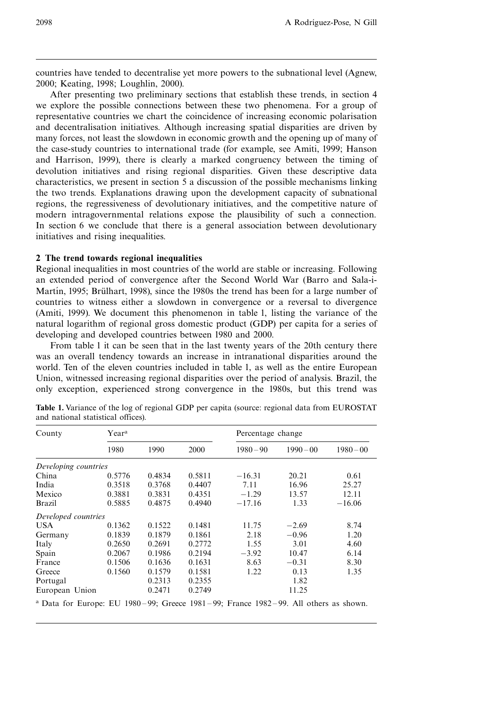countries have tended to decentralise yet more powers to the subnational level (Agnew, 2000; Keating, 1998; Loughlin, 2000).

After presenting two preliminary sections that establish these trends, in section 4 we explore the possible connections between these two phenomena. For a group of representative countries we chart the coincidence of increasing economic polarisation and decentralisation initiatives. Although increasing spatial disparities are driven by many forces, not least the slowdown in economic growth and the opening up of many of the case-study countries to international trade (for example, see Amiti, 1999; Hanson and Harrison, 1999), there is clearly a marked congruency between the timing of devolution initiatives and rising regional disparities. Given these descriptive data characteristics, we present in section 5 a discussion of the possible mechanisms linking the two trends. Explanations drawing upon the development capacity of subnational regions, the regressiveness of devolutionary initiatives, and the competitive nature of modern intragovernmental relations expose the plausibility of such a connection. In section 6 we conclude that there is a general association between devolutionary initiatives and rising inequalities.

## 2 The trend towards regional inequalities

Regional inequalities in most countries of the world are stable or increasing. Following an extended period of convergence after the Second World War (Barro and Sala-i-Martin, 1995; Brülhart, 1998), since the 1980s the trend has been for a large number of countries to witness either a slowdown in convergence or a reversal to divergence (Amiti, 1999). We document this phenomenon in table 1, listing the variance of the natural logarithm of regional gross domestic product (GDP) per capita for a series of developing and developed countries between 1980 and 2000.

From table 1 it can be seen that in the last twenty years of the 20th century there was an overall tendency towards an increase in intranational disparities around the world. Ten of the eleven countries included in table 1, as well as the entire European Union, witnessed increasing regional disparities over the period of analysis. Brazil, the only exception, experienced strong convergence in the 1980s, but this trend was

| County                                                | Year <sup>a</sup> |        |        | Percentage change |             |             |
|-------------------------------------------------------|-------------------|--------|--------|-------------------|-------------|-------------|
|                                                       | 1980              | 1990   | 2000   | $1980 - 90$       | $1990 - 00$ | $1980 - 00$ |
| Developing countries                                  |                   |        |        |                   |             |             |
| China                                                 | 0.5776            | 0.4834 | 0.5811 | $-16.31$          | 20.21       | 0.61        |
| India                                                 | 0.3518            | 0.3768 | 0.4407 | 7.11              | 16.96       | 25.27       |
| Mexico                                                | 0.3881            | 0.3831 | 0.4351 | $-1.29$           | 13.57       | 12.11       |
| Brazil                                                | 0.5885            | 0.4875 | 0.4940 | $-17.16$          | 1.33        | $-16.06$    |
| Developed countries                                   |                   |        |        |                   |             |             |
| USA.                                                  | 0.1362            | 0.1522 | 0.1481 | 11.75             | $-2.69$     | 8.74        |
| Germany                                               | 0.1839            | 0.1879 | 0.1861 | 2.18              | $-0.96$     | 1.20        |
| Italy                                                 | 0.2650            | 0.2691 | 0.2772 | 1.55              | 3.01        | 4.60        |
| Spain                                                 | 0.2067            | 0.1986 | 0.2194 | $-3.92$           | 10.47       | 6.14        |
| France                                                | 0.1506            | 0.1636 | 0.1631 | 8.63              | $-0.31$     | 8.30        |
| Greece                                                | 0.1560            | 0.1579 | 0.1581 | 1.22              | 0.13        | 1.35        |
| Portugal                                              |                   | 0.2313 | 0.2355 |                   | 1.82        |             |
| European Union                                        |                   | 0.2471 | 0.2749 |                   | 11.25       |             |
| $3.52 \pm 0.5$ FILED 00.00 C 1001 00 F 1002 00 AU 4 T |                   |        |        |                   |             |             |

Table 1. Variance of the log of regional GDP per capita (source: regional data from EUROSTAT and national statistical offices).

Data for Europe: EU 1980–99; Greece 1981–99; France 1982–99. All others as shown.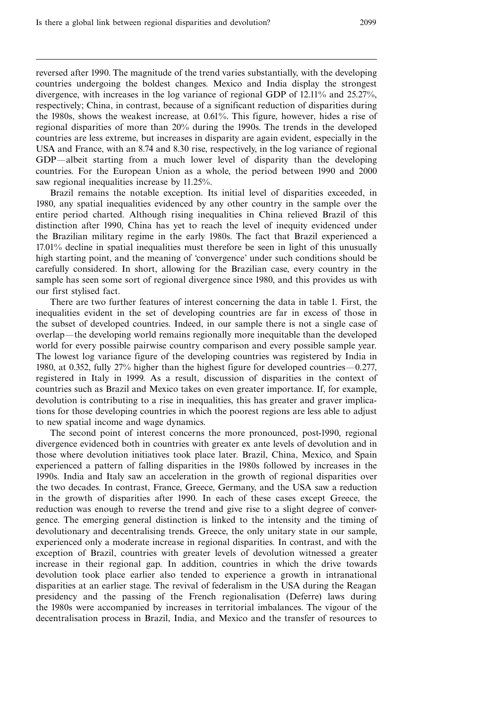reversed after 1990. The magnitude of the trend varies substantially, with the developing countries undergoing the boldest changes. Mexico and India display the strongest divergence, with increases in the log variance of regional GDP of 12.11% and 25.27%, respectively; China, in contrast, because of a significant reduction of disparities during the 1980s, shows the weakest increase, at 0.61%. This figure, however, hides a rise of regional disparities of more than 20% during the 1990s. The trends in the developed countries are less extreme, but increases in disparity are again evident, especially in the USA and France, with an 8.74 and 8.30 rise, respectively, in the log variance of regional GDP—albeit starting from a much lower level of disparity than the developing countries. For the European Union as a whole, the period between 1990 and 2000 saw regional inequalities increase by 11.25%.

Brazil remains the notable exception. Its initial level of disparities exceeded, in 1980, any spatial inequalities evidenced by any other country in the sample over the entire period charted. Although rising inequalities in China relieved Brazil of this distinction after 1990, China has yet to reach the level of inequity evidenced under the Brazilian military regime in the early 1980s. The fact that Brazil experienced a 17.01% decline in spatial inequalities must therefore be seen in light of this unusually high starting point, and the meaning of `convergence' under such conditions should be carefully considered. In short, allowing for the Brazilian case, every country in the sample has seen some sort of regional divergence since 1980, and this provides us with our first stylised fact.

There are two further features of interest concerning the data in table 1. First, the inequalities evident in the set of developing countries are far in excess of those in the subset of developed countries. Indeed, in our sample there is not a single case of overlap—the developing world remains regionally more inequitable than the developed world for every possible pairwise country comparison and every possible sample year. The lowest log variance figure of the developing countries was registered by India in 1980, at 0.352, fully 27% higher than the highest figure for developed countries  $-0.277$ , registered in Italy in 1999. As a result, discussion of disparities in the context of countries such as Brazil and Mexico takes on even greater importance. If, for example, devolution is contributing to a rise in inequalities, this has greater and graver implications for those developing countries in which the poorest regions are less able to adjust to new spatial income and wage dynamics.

The second point of interest concerns the more pronounced, post-1990, regional divergence evidenced both in countries with greater ex ante levels of devolution and in those where devolution initiatives took place later. Brazil, China, Mexico, and Spain experienced a pattern of falling disparities in the 1980s followed by increases in the 1990s. India and Italy saw an acceleration in the growth of regional disparities over the two decades. In contrast, France, Greece, Germany, and the USA saw a reduction in the growth of disparities after 1990. In each of these cases except Greece, the reduction was enough to reverse the trend and give rise to a slight degree of convergence. The emerging general distinction is linked to the intensity and the timing of devolutionary and decentralising trends. Greece, the only unitary state in our sample, experienced only a moderate increase in regional disparities. In contrast, and with the exception of Brazil, countries with greater levels of devolution witnessed a greater increase in their regional gap. In addition, countries in which the drive towards devolution took place earlier also tended to experience a growth in intranational disparities at an earlier stage. The revival of federalism in the USA during the Reagan presidency and the passing of the French regionalisation (Deferre) laws during the 1980s were accompanied by increases in territorial imbalances. The vigour of the decentralisation process in Brazil, India, and Mexico and the transfer of resources to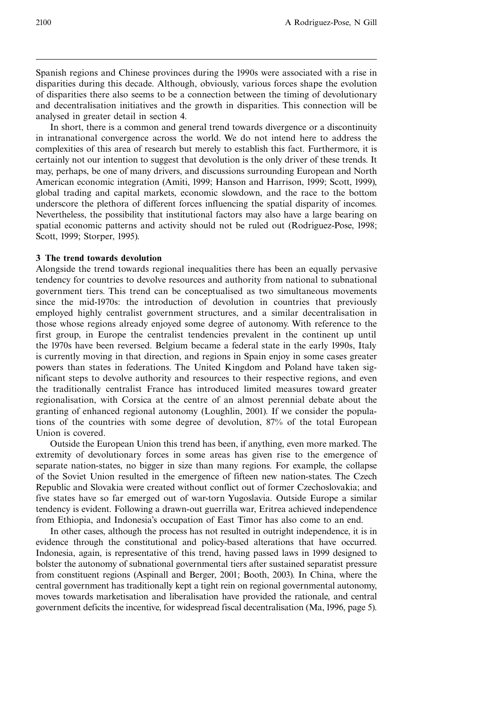Spanish regions and Chinese provinces during the 1990s were associated with a rise in disparities during this decade. Although, obviously, various forces shape the evolution of disparities there also seems to be a connection between the timing of devolutionary and decentralisation initiatives and the growth in disparities. This connection will be analysed in greater detail in section 4.

In short, there is a common and general trend towards divergence or a discontinuity in intranational convergence across the world. We do not intend here to address the complexities of this area of research but merely to establish this fact. Furthermore, it is certainly not our intention to suggest that devolution is the only driver of these trends. It may, perhaps, be one of many drivers, and discussions surrounding European and North American economic integration (Amiti, 1999; Hanson and Harrison, 1999; Scott, 1999), global trading and capital markets, economic slowdown, and the race to the bottom underscore the plethora of different forces influencing the spatial disparity of incomes. Nevertheless, the possibility that institutional factors may also have a large bearing on spatial economic patterns and activity should not be ruled out (Rodríguez-Pose, 1998; Scott, 1999; Storper, 1995).

## 3 The trend towards devolution

Alongside the trend towards regional inequalities there has been an equally pervasive tendency for countries to devolve resources and authority from national to subnational government tiers. This trend can be conceptualised as two simultaneous movements since the mid-1970s: the introduction of devolution in countries that previously employed highly centralist government structures, and a similar decentralisation in those whose regions already enjoyed some degree of autonomy. With reference to the first group, in Europe the centralist tendencies prevalent in the continent up until the 1970s have been reversed. Belgium became a federal state in the early 1990s, Italy is currently moving in that direction, and regions in Spain enjoy in some cases greater powers than states in federations. The United Kingdom and Poland have taken significant steps to devolve authority and resources to their respective regions, and even the traditionally centralist France has introduced limited measures toward greater regionalisation, with Corsica at the centre of an almost perennial debate about the granting of enhanced regional autonomy (Loughlin, 2001). If we consider the populations of the countries with some degree of devolution, 87% of the total European Union is covered.

Outside the European Union this trend has been, if anything, even more marked. The extremity of devolutionary forces in some areas has given rise to the emergence of separate nation-states, no bigger in size than many regions. For example, the collapse of the Soviet Union resulted in the emergence of fifteen new nation-states. The Czech Republic and Slovakia were created without conflict out of former Czechoslovakia; and five states have so far emerged out of war-torn Yugoslavia. Outside Europe a similar tendency is evident. Following a drawn-out guerrilla war, Eritrea achieved independence from Ethiopia, and Indonesia's occupation of East Timor has also come to an end.

In other cases, although the process has not resulted in outright independence, it is in evidence through the constitutional and policy-based alterations that have occurred. Indonesia, again, is representative of this trend, having passed laws in 1999 designed to bolster the autonomy of subnational governmental tiers after sustained separatist pressure from constituent regions (Aspinall and Berger, 2001; Booth, 2003). In China, where the central government has traditionally kept a tight rein on regional governmental autonomy, moves towards marketisation and liberalisation have provided the rationale, and central government deficits the incentive, for widespread fiscal decentralisation (Ma, 1996, page 5).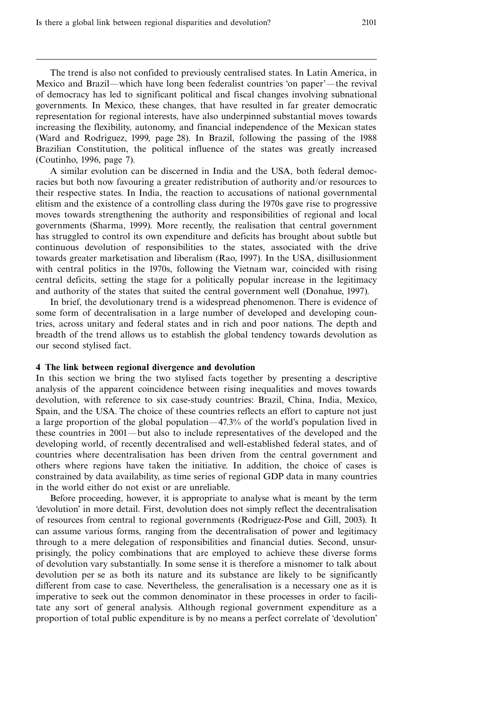The trend is also not confided to previously centralised states. In Latin America, in Mexico and Brazil—which have long been federalist countries 'on paper'—the revival of democracy has led to significant political and fiscal changes involving subnational governments. In Mexico, these changes, that have resulted in far greater democratic representation for regional interests, have also underpinned substantial moves towards increasing the flexibility, autonomy, and financial independence of the Mexican states (Ward and Rodríguez, 1999, page 28). In Brazil, following the passing of the 1988 Brazilian Constitution, the political influence of the states was greatly increased (Coutinho, 1996, page 7).

A similar evolution can be discerned in India and the USA, both federal democracies but both now favouring a greater redistribution of authority and/or resources to their respective states. In India, the reaction to accusations of national governmental elitism and the existence of a controlling class during the 1970s gave rise to progressive moves towards strengthening the authority and responsibilities of regional and local governments (Sharma, 1999). More recently, the realisation that central government has struggled to control its own expenditure and deficits has brought about subtle but continuous devolution of responsibilities to the states, associated with the drive towards greater marketisation and liberalism (Rao, 1997). In the USA, disillusionment with central politics in the 1970s, following the Vietnam war, coincided with rising central deficits, setting the stage for a politically popular increase in the legitimacy and authority of the states that suited the central government well (Donahue, 1997).

In brief, the devolutionary trend is a widespread phenomenon. There is evidence of some form of decentralisation in a large number of developed and developing countries, across unitary and federal states and in rich and poor nations. The depth and breadth of the trend allows us to establish the global tendency towards devolution as our second stylised fact.

#### 4 The link between regional divergence and devolution

In this section we bring the two stylised facts together by presenting a descriptive analysis of the apparent coincidence between rising inequalities and moves towards devolution, with reference to six case-study countries: Brazil, China, India, Mexico, Spain, and the USA. The choice of these countries reflects an effort to capture not just a large proportion of the global population— $47.3\%$  of the world's population lived in these countries in  $2001$ —but also to include representatives of the developed and the developing world, of recently decentralised and well-established federal states, and of countries where decentralisation has been driven from the central government and others where regions have taken the initiative. In addition, the choice of cases is constrained by data availability, as time series of regional GDP data in many countries in the world either do not exist or are unreliable.

Before proceeding, however, it is appropriate to analyse what is meant by the term `devolution' in more detail. First, devolution does not simply reflect the decentralisation of resources from central to regional governments (Rodríguez-Pose and Gill, 2003). It can assume various forms, ranging from the decentralisation of power and legitimacy through to a mere delegation of responsibilities and financial duties. Second, unsurprisingly, the policy combinations that are employed to achieve these diverse forms of devolution vary substantially. In some sense it is therefore a misnomer to talk about devolution per se as both its nature and its substance are likely to be significantly different from case to case. Nevertheless, the generalisation is a necessary one as it is imperative to seek out the common denominator in these processes in order to facilitate any sort of general analysis. Although regional government expenditure as a proportion of total public expenditure is by no means a perfect correlate of `devolution'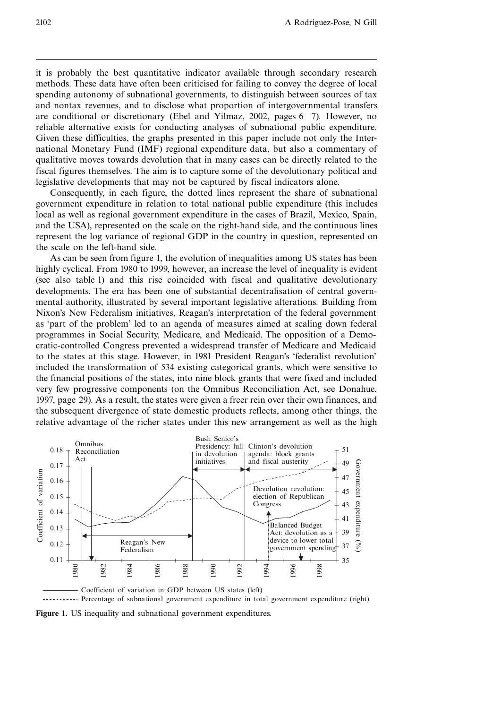it is probably the best quantitative indicator available through secondary research methods. These data have often been criticised for failing to convey the degree of local spending autonomy of subnational governments, to distinguish between sources of tax and nontax revenues, and to disclose what proportion of intergovernmental transfers are conditional or discretionary (Ebel and Yilmaz, 2002, pages  $6 - 7$ ). However, no reliable alternative exists for conducting analyses of subnational public expenditure. Given these difficulties, the graphs presented in this paper include not only the International Monetary Fund (IMF) regional expenditure data, but also a commentary of qualitative moves towards devolution that in many cases can be directly related to the fiscal figures themselves. The aim is to capture some of the devolutionary political and legislative developments that may not be captured by fiscal indicators alone.

Consequently, in each figure, the dotted lines represent the share of subnational government expenditure in relation to total national public expenditure (this includes local as well as regional government expenditure in the cases of Brazil, Mexico, Spain, and the USA), represented on the scale on the right-hand side, and the continuous lines represent the log variance of regional GDP in the country in question, represented on the scale on the left-hand side.

As can be seen from figure 1, the evolution of inequalities among US states has been highly cyclical. From 1980 to 1999, however, an increase the level of inequality is evident (see also table 1) and this rise coincided with fiscal and qualitative devolutionary developments. The era has been one of substantial decentralisation of central governmental authority, illustrated by several important legislative alterations. Building from Nixon's New Federalism initiatives, Reagan's interpretation of the federal government as `part of the problem' led to an agenda of measures aimed at scaling down federal programmes in Social Security, Medicare, and Medicaid. The opposition of a Democratic-controlled Congress prevented a widespread transfer of Medicare and Medicaid to the states at this stage. However, in 1981 President Reagan's `federalist revolution' included the transformation of 534 existing categorical grants, which were sensitive to the financial positions of the states, into nine block grants that were fixed and included very few progressive components (on the Omnibus Reconciliation Act, see Donahue, 1997, page 29). As a result, the states were given a freer rein over their own finances, and the subsequent divergence of state domestic products reflects, among other things, the relative advantage of the richer states under this new arrangement as well as the high



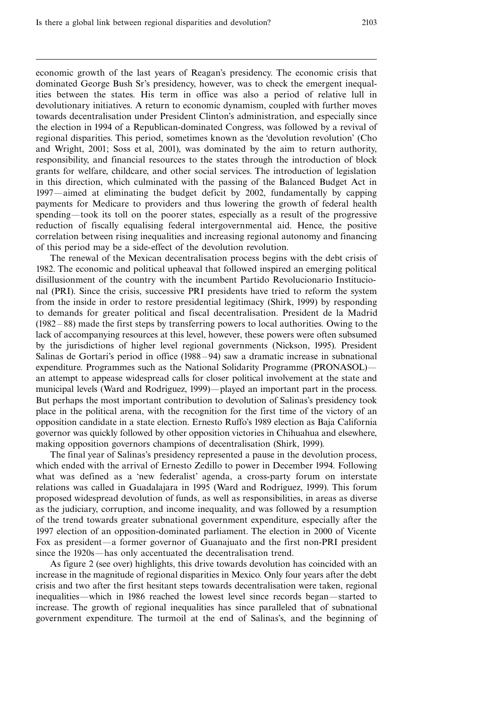economic growth of the last years of Reagan's presidency. The economic crisis that dominated George Bush Sr's presidency, however, was to check the emergent inequalities between the states. His term in office was also a period of relative lull in devolutionary initiatives. A return to economic dynamism, coupled with further moves towards decentralisation under President Clinton's administration, and especially since the election in 1994 of a Republican-dominated Congress, was followed by a revival of regional disparities. This period, sometimes known as the `devolution revolution' (Cho and Wright, 2001; Soss et al, 2001), was dominated by the aim to return authority, responsibility, and financial resources to the states through the introduction of block grants for welfare, childcare, and other social services. The introduction of legislation in this direction, which culminated with the passing of the Balanced Budget Act in 1997—aimed at eliminating the budget deficit by 2002, fundamentally by capping payments for Medicare to providers and thus lowering the growth of federal health spending—took its toll on the poorer states, especially as a result of the progressive reduction of fiscally equalising federal intergovernmental aid. Hence, the positive correlation between rising inequalities and increasing regional autonomy and financing of this period may be a side-effect of the devolution revolution.

The renewal of the Mexican decentralisation process begins with the debt crisis of 1982. The economic and political upheaval that followed inspired an emerging political disillusionment of the country with the incumbent Partido Revolucionario Institucional (PRI). Since the crisis, successive PRI presidents have tried to reform the system from the inside in order to restore presidential legitimacy (Shirk, 1999) by responding to demands for greater political and fiscal decentralisation. President de la Madrid  $(1982 - 88)$  made the first steps by transferring powers to local authorities. Owing to the lack of accompanying resources at this level, however, these powers were often subsumed by the jurisdictions of higher level regional governments (Nickson, 1995). President Salinas de Gortari's period in office  $(1988 - 94)$  saw a dramatic increase in subnational expenditure. Programmes such as the National Solidarity Programme (PRONASOL) an attempt to appease widespread calls for closer political involvement at the state and municipal levels (Ward and Rodríguez, 1999)—played an important part in the process. But perhaps the most important contribution to devolution of Salinas's presidency took place in the political arena, with the recognition for the first time of the victory of an opposition candidate in a state election. Ernesto Ruffo's 1989 election as Baja California governor was quickly followed by other opposition victories in Chihuahua and elsewhere, making opposition governors champions of decentralisation (Shirk, 1999).

The final year of Salinas's presidency represented a pause in the devolution process, which ended with the arrival of Ernesto Zedillo to power in December 1994. Following what was defined as a 'new federalist' agenda, a cross-party forum on interstate relations was called in Guadalajara in 1995 (Ward and Rodríguez, 1999). This forum proposed widespread devolution of funds, as well as responsibilities, in areas as diverse as the judiciary, corruption, and income inequality, and was followed by a resumption of the trend towards greater subnational government expenditure, especially after the 1997 election of an opposition-dominated parliament. The election in 2000 of Vicente Fox as president—a former governor of Guanajuato and the first non-PRI president since the 1920s—has only accentuated the decentralisation trend.

As figure 2 (see over) highlights, this drive towards devolution has coincided with an increase in the magnitude of regional disparities in Mexico. Only four years after the debt crisis and two after the first hesitant steps towards decentralisation were taken, regional inequalities—which in 1986 reached the lowest level since records began—started to increase. The growth of regional inequalities has since paralleled that of subnational government expenditure. The turmoil at the end of Salinas's, and the beginning of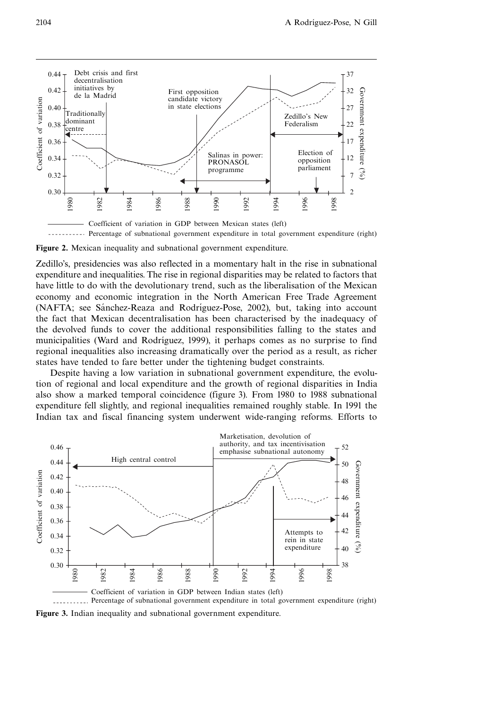

Percentage of subnational government expenditure in total government expenditure (right)



Zedillo's, presidencies was also reflected in a momentary halt in the rise in subnational expenditure and inequalities. The rise in regional disparities may be related to factors that have little to do with the devolutionary trend, such as the liberalisation of the Mexican economy and economic integration in the North American Free Trade Agreement (NAFTA; see Sánchez-Reaza and Rodríguez-Pose, 2002), but, taking into account the fact that Mexican decentralisation has been characterised by the inadequacy of the devolved funds to cover the additional responsibilities falling to the states and municipalities (Ward and Rodríguez, 1999), it perhaps comes as no surprise to find regional inequalities also increasing dramatically over the period as a result, as richer states have tended to fare better under the tightening budget constraints.

Despite having a low variation in subnational government expenditure, the evolution of regional and local expenditure and the growth of regional disparities in India also show a marked temporal coincidence (figure 3). From 1980 to 1988 subnational expenditure fell slightly, and regional inequalities remained roughly stable. In 1991 the



Percentage of subnational government expenditure in total government expenditure (right) Figure 3. Indian inequality and subnational government expenditure.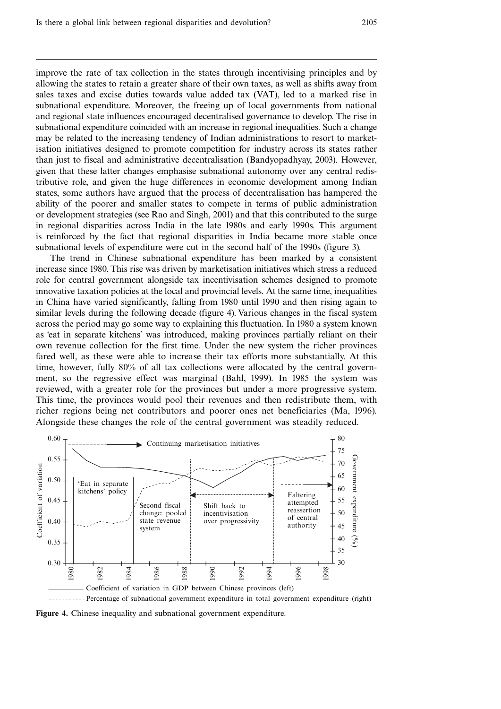improve the rate of tax collection in the states through incentivising principles and by allowing the states to retain a greater share of their own taxes, as well as shifts away from sales taxes and excise duties towards value added tax (VAT), led to a marked rise in subnational expenditure. Moreover, the freeing up of local governments from national and regional state influences encouraged decentralised governance to develop. The rise in subnational expenditure coincided with an increase in regional inequalities. Such a change may be related to the increasing tendency of Indian administrations to resort to marketisation initiatives designed to promote competition for industry across its states rather than just to fiscal and administrative decentralisation (Bandyopadhyay, 2003). However, given that these latter changes emphasise subnational autonomy over any central redistributive role, and given the huge differences in economic development among Indian states, some authors have argued that the process of decentralisation has hampered the ability of the poorer and smaller states to compete in terms of public administration or development strategies (see Rao and Singh, 2001) and that this contributed to the surge in regional disparities across India in the late 1980s and early 1990s. This argument is reinforced by the fact that regional disparities in India became more stable once subnational levels of expenditure were cut in the second half of the 1990s (figure 3).

The trend in Chinese subnational expenditure has been marked by a consistent increase since 1980. This rise was driven by marketisation initiatives which stress a reduced role for central government alongside tax incentivisation schemes designed to promote innovative taxation policies at the local and provincial levels. At the same time, inequalities in China have varied significantly, falling from 1980 until 1990 and then rising again to similar levels during the following decade (figure 4). Various changes in the fiscal system across the period may go some way to explaining this fluctuation. In 1980 a system known as `eat in separate kitchens' was introduced, making provinces partially reliant on their own revenue collection for the first time. Under the new system the richer provinces fared well, as these were able to increase their tax efforts more substantially. At this time, however, fully 80% of all tax collections were allocated by the central government, so the regressive effect was marginal (Bahl, 1999). In 1985 the system was reviewed, with a greater role for the provinces but under a more progressive system. This time, the provinces would pool their revenues and then redistribute them, with richer regions being net contributors and poorer ones net beneficiaries (Ma, 1996). Alongside these changes the role of the central government was steadily reduced.





Figure 4. Chinese inequality and subnational government expenditure.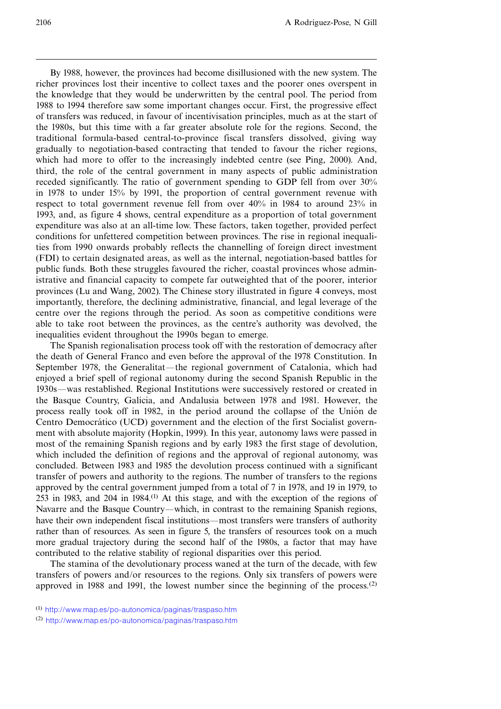By 1988, however, the provinces had become disillusioned with the new system. The richer provinces lost their incentive to collect taxes and the poorer ones overspent in the knowledge that they would be underwritten by the central pool. The period from 1988 to 1994 therefore saw some important changes occur. First, the progressive effect of transfers was reduced, in favour of incentivisation principles, much as at the start of the 1980s, but this time with a far greater absolute role for the regions. Second, the traditional formula-based central-to-province fiscal transfers dissolved, giving way gradually to negotiation-based contracting that tended to favour the richer regions, which had more to offer to the increasingly indebted centre (see Ping, 2000). And, third, the role of the central government in many aspects of public administration receded significantly. The ratio of government spending to GDP fell from over 30% in 1978 to under 15% by 1991, the proportion of central government revenue with respect to total government revenue fell from over 40% in 1984 to around 23% in 1993, and, as figure 4 shows, central expenditure as a proportion of total government expenditure was also at an all-time low. These factors, taken together, provided perfect conditions for unfettered competition between provinces. The rise in regional inequalities from 1990 onwards probably reflects the channelling of foreign direct investment (FDI) to certain designated areas, as well as the internal, negotiation-based battles for public funds. Both these struggles favoured the richer, coastal provinces whose administrative and financial capacity to compete far outweighted that of the poorer, interior provinces (Lu and Wang, 2002). The Chinese story illustrated in figure 4 conveys, most importantly, therefore, the declining administrative, financial, and legal leverage of the centre over the regions through the period. As soon as competitive conditions were able to take root between the provinces, as the centre's authority was devolved, the inequalities evident throughout the 1990s began to emerge.

The Spanish regionalisation process took off with the restoration of democracy after the death of General Franco and even before the approval of the 1978 Constitution. In September 1978, the Generalitat—the regional government of Catalonia, which had enjoyed a brief spell of regional autonomy during the second Spanish Republic in the 1930s—was restablished. Regional Institutions were successively restored or created in the Basque Country, Galicia, and Andalusia between 1978 and 1981. However, the process really took off in 1982, in the period around the collapse of the Unión de Centro Democrático (UCD) government and the election of the first Socialist government with absolute majority (Hopkin, 1999). In this year, autonomy laws were passed in most of the remaining Spanish regions and by early 1983 the first stage of devolution, which included the definition of regions and the approval of regional autonomy, was concluded. Between 1983 and 1985 the devolution process continued with a significant transfer of powers and authority to the regions. The number of transfers to the regions approved by the central government jumped from a total of 7 in 1978, and 19 in 1979, to 253 in 1983, and 204 in 1984.(1) At this stage, and with the exception of the regions of Navarre and the Basque Country—which, in contrast to the remaining Spanish regions, have their own independent fiscal institutions—most transfers were transfers of authority rather than of resources. As seen in figure 5, the transfers of resources took on a much more gradual trajectory during the second half of the 1980s, a factor that may have contributed to the relative stability of regional disparities over this period.

The stamina of the devolutionary process waned at the turn of the decade, with few transfers of powers and/or resources to the regions. Only six transfers of powers were approved in 1988 and 1991, the lowest number since the beginning of the process.<sup>(2)</sup>

<sup>(2)</sup> [http://www.map.es/po-autonomica/paginas/traspaso.htm](http://www.map.es/)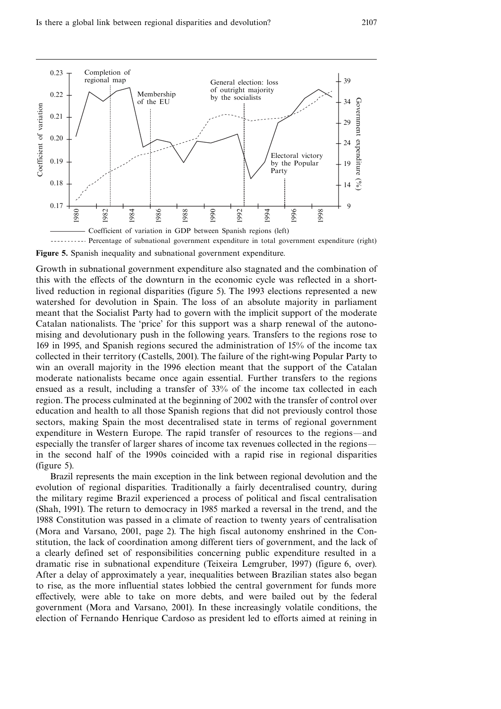

Figure 5. Spanish inequality and subnational government expenditure.

Growth in subnational government expenditure also stagnated and the combination of this with the effects of the downturn in the economic cycle was reflected in a shortlived reduction in regional disparities (figure 5). The 1993 elections represented a new watershed for devolution in Spain. The loss of an absolute majority in parliament meant that the Socialist Party had to govern with the implicit support of the moderate Catalan nationalists. The `price' for this support was a sharp renewal of the autonomising and devolutionary push in the following years. Transfers to the regions rose to 169 in 1995, and Spanish regions secured the administration of 15% of the income tax collected in their territory (Castells, 2001). The failure of the right-wing Popular Party to win an overall majority in the 1996 election meant that the support of the Catalan moderate nationalists became once again essential. Further transfers to the regions ensued as a result, including a transfer of 33% of the income tax collected in each region. The process culminated at the beginning of 2002 with the transfer of control over education and health to all those Spanish regions that did not previously control those sectors, making Spain the most decentralised state in terms of regional government expenditure in Western Europe. The rapid transfer of resources to the regions—and especially the transfer of larger shares of income tax revenues collected in the regions in the second half of the 1990s coincided with a rapid rise in regional disparities (figure 5).

Brazil represents the main exception in the link between regional devolution and the evolution of regional disparities. Traditionally a fairly decentralised country, during the military regime Brazil experienced a process of political and fiscal centralisation (Shah, 1991). The return to democracy in 1985 marked a reversal in the trend, and the 1988 Constitution was passed in a climate of reaction to twenty years of centralisation (Mora and Varsano, 2001, page 2). The high fiscal autonomy enshrined in the Constitution, the lack of coordination among different tiers of government, and the lack of a clearly defined set of responsibilities concerning public expenditure resulted in a dramatic rise in subnational expenditure (Teixeira Lemgruber, 1997) (figure 6, over). After a delay of approximately a year, inequalities between Brazilian states also began to rise, as the more influential states lobbied the central government for funds more effectively, were able to take on more debts, and were bailed out by the federal government (Mora and Varsano, 2001). In these increasingly volatile conditions, the election of Fernando Henrique Cardoso as president led to efforts aimed at reining in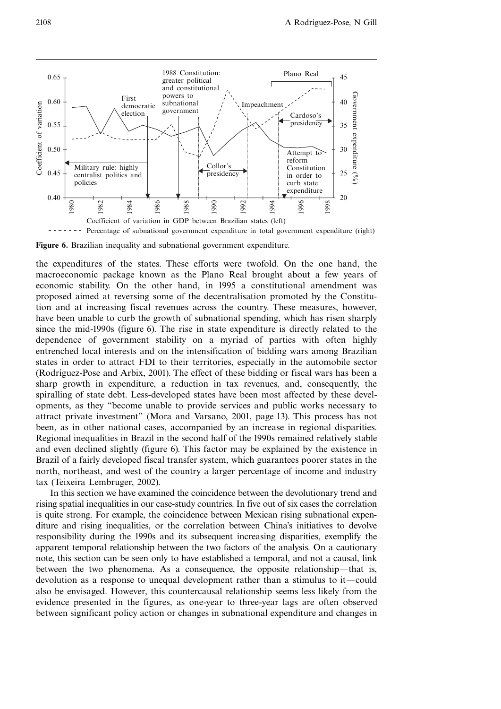

Figure 6. Brazilian inequality and subnational government expenditure.

the expenditures of the states. These efforts were twofold. On the one hand, the macroeconomic package known as the Plano Real brought about a few years of economic stability. On the other hand, in 1995 a constitutional amendment was proposed aimed at reversing some of the decentralisation promoted by the Constitution and at increasing fiscal revenues across the country. These measures, however, have been unable to curb the growth of subnational spending, which has risen sharply since the mid-1990s (figure 6). The rise in state expenditure is directly related to the dependence of government stability on a myriad of parties with often highly entrenched local interests and on the intensification of bidding wars among Brazilian states in order to attract FDI to their territories, especially in the automobile sector (Rodríguez-Pose and Arbix, 2001). The effect of these bidding or fiscal wars has been a sharp growth in expenditure, a reduction in tax revenues, and, consequently, the spiralling of state debt. Less-developed states have been most affected by these developments, as they ``become unable to provide services and public works necessary to attract private investment'' (Mora and Varsano, 2001, page 13). This process has not been, as in other national cases, accompanied by an increase in regional disparities. Regional inequalities in Brazil in the second half of the 1990s remained relatively stable and even declined slightly (figure 6). This factor may be explained by the existence in Brazil of a fairly developed fiscal transfer system, which guarantees poorer states in the north, northeast, and west of the country a larger percentage of income and industry tax (Teixeira Lembruger, 2002). For the significant policy of the coefficient of the coefficient or changes in subsection of the coefficient of  $\frac{1}{2}$  and  $\frac{1}{2}$  and  $\frac{1}{2}$  and  $\frac{1}{2}$  and  $\frac{1}{2}$  and  $\frac{1}{2}$  and  $\frac{1}{2}$  coefficient of

In this section we have examined the coincidence between the devolutionary trend and rising spatial inequalities in our case-study countries. In five out of six cases the correlation is quite strong. For example, the coincidence between Mexican rising subnational expenditure and rising inequalities, or the correlation between China's initiatives to devolve responsibility during the 1990s and its subsequent increasing disparities, exemplify the apparent temporal relationship between the two factors of the analysis. On a cautionary note, this section can be seen only to have established a temporal, and not a causal, link between the two phenomena. As a consequence, the opposite relationship—that is, devolution as a response to unequal development rather than a stimulus to it—could also be envisaged. However, this countercausal relationship seems less likely from the evidence presented in the figures, as one-year to three-year lags are often observed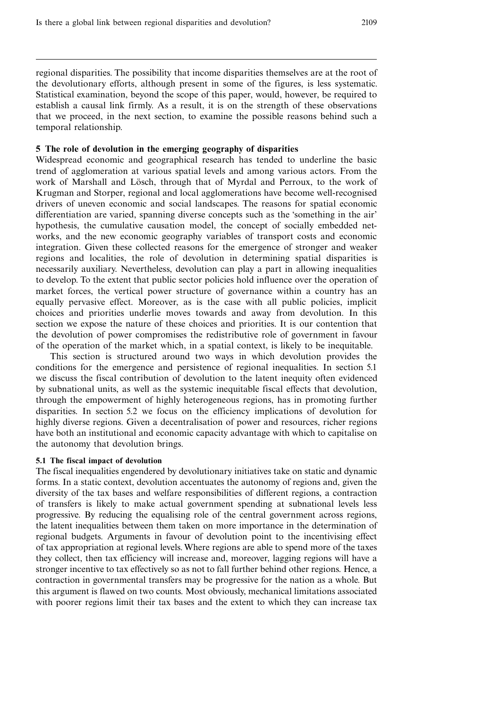regional disparities. The possibility that income disparities themselves are at the root of the devolutionary efforts, although present in some of the figures, is less systematic. Statistical examination, beyond the scope of this paper, would, however, be required to establish a causal link firmly. As a result, it is on the strength of these observations

# 5 The role of devolution in the emerging geography of disparities

Widespread economic and geographical research has tended to underline the basic trend of agglomeration at various spatial levels and among various actors. From the work of Marshall and Lösch, through that of Myrdal and Perroux, to the work of Krugman and Storper, regional and local agglomerations have become well-recognised drivers of uneven economic and social landscapes. The reasons for spatial economic differentiation are varied, spanning diverse concepts such as the 'something in the air' hypothesis, the cumulative causation model, the concept of socially embedded networks, and the new economic geography variables of transport costs and economic integration. Given these collected reasons for the emergence of stronger and weaker regions and localities, the role of devolution in determining spatial disparities is necessarily auxiliary. Nevertheless, devolution can play a part in allowing inequalities to develop. To the extent that public sector policies hold influence over the operation of market forces, the vertical power structure of governance within a country has an equally pervasive effect. Moreover, as is the case with all public policies, implicit choices and priorities underlie moves towards and away from devolution. In this section we expose the nature of these choices and priorities. It is our contention that the devolution of power compromises the redistributive role of government in favour of the operation of the market which, in a spatial context, is likely to be inequitable.

that we proceed, in the next section, to examine the possible reasons behind such a

This section is structured around two ways in which devolution provides the conditions for the emergence and persistence of regional inequalities. In section 5.1 we discuss the fiscal contribution of devolution to the latent inequity often evidenced by subnational units, as well as the systemic inequitable fiscal effects that devolution, through the empowerment of highly heterogeneous regions, has in promoting further disparities. In section 5.2 we focus on the efficiency implications of devolution for highly diverse regions. Given a decentralisation of power and resources, richer regions have both an institutional and economic capacity advantage with which to capitalise on the autonomy that devolution brings.

# 5.1 The fiscal impact of devolution

temporal relationship.

The fiscal inequalities engendered by devolutionary initiatives take on static and dynamic forms. In a static context, devolution accentuates the autonomy of regions and, given the diversity of the tax bases and welfare responsibilities of different regions, a contraction of transfers is likely to make actual government spending at subnational levels less progressive. By reducing the equalising role of the central government across regions, the latent inequalities between them taken on more importance in the determination of regional budgets. Arguments in favour of devolution point to the incentivising effect of tax appropriation at regional levels.Where regions are able to spend more of the taxes they collect, then tax efficiency will increase and, moreover, lagging regions will have a stronger incentive to tax effectively so as not to fall further behind other regions. Hence, a contraction in governmental transfers may be progressive for the nation as a whole. But this argument is flawed on two counts. Most obviously, mechanical limitations associated with poorer regions limit their tax bases and the extent to which they can increase tax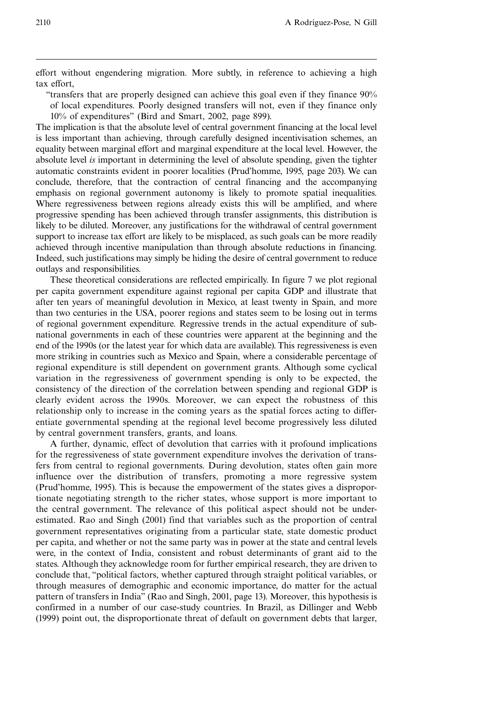effort without engendering migration. More subtly, in reference to achieving a high tax effort,

``transfers that are properly designed can achieve this goal even if they finance 90% of local expenditures. Poorly designed transfers will not, even if they finance only 10% of expenditures'' (Bird and Smart, 2002, page 899).

The implication is that the absolute level of central government financing at the local level is less important than achieving, through carefully designed incentivisation schemes, an equality between marginal effort and marginal expenditure at the local level. However, the absolute level is important in determining the level of absolute spending, given the tighter automatic constraints evident in poorer localities (Prud'homme, 1995, page 203). We can conclude, therefore, that the contraction of central financing and the accompanying emphasis on regional government autonomy is likely to promote spatial inequalities. Where regressiveness between regions already exists this will be amplified, and where progressive spending has been achieved through transfer assignments, this distribution is likely to be diluted. Moreover, any justifications for the withdrawal of central government support to increase tax effort are likely to be misplaced, as such goals can be more readily achieved through incentive manipulation than through absolute reductions in financing. Indeed, such justifications may simply be hiding the desire of central government to reduce outlays and responsibilities.

These theoretical considerations are reflected empirically. In figure 7 we plot regional per capita government expenditure against regional per capita GDP and illustrate that after ten years of meaningful devolution in Mexico, at least twenty in Spain, and more than two centuries in the USA, poorer regions and states seem to be losing out in terms of regional government expenditure. Regressive trends in the actual expenditure of subnational governments in each of these countries were apparent at the beginning and the end of the 1990s (or the latest year for which data are available). This regressiveness is even more striking in countries such as Mexico and Spain, where a considerable percentage of regional expenditure is still dependent on government grants. Although some cyclical variation in the regressiveness of government spending is only to be expected, the consistency of the direction of the correlation between spending and regional GDP is clearly evident across the 1990s. Moreover, we can expect the robustness of this relationship only to increase in the coming years as the spatial forces acting to differentiate governmental spending at the regional level become progressively less diluted by central government transfers, grants, and loans.

A further, dynamic, effect of devolution that carries with it profound implications for the regressiveness of state government expenditure involves the derivation of transfers from central to regional governments. During devolution, states often gain more influence over the distribution of transfers, promoting a more regressive system (Prud'homme, 1995). This is because the empowerment of the states gives a disproportionate negotiating strength to the richer states, whose support is more important to the central government. The relevance of this political aspect should not be underestimated. Rao and Singh (2001) find that variables such as the proportion of central government representatives originating from a particular state, state domestic product per capita, and whether or not the same party was in power at the state and central levels were, in the context of India, consistent and robust determinants of grant aid to the states. Although they acknowledge room for further empirical research, they are driven to conclude that, "political factors, whether captured through straight political variables, or through measures of demographic and economic importance, do matter for the actual pattern of transfers in India'' (Rao and Singh, 2001, page 13). Moreover, this hypothesis is confirmed in a number of our case-study countries. In Brazil, as Dillinger and Webb (1999) point out, the disproportionate threat of default on government debts that larger,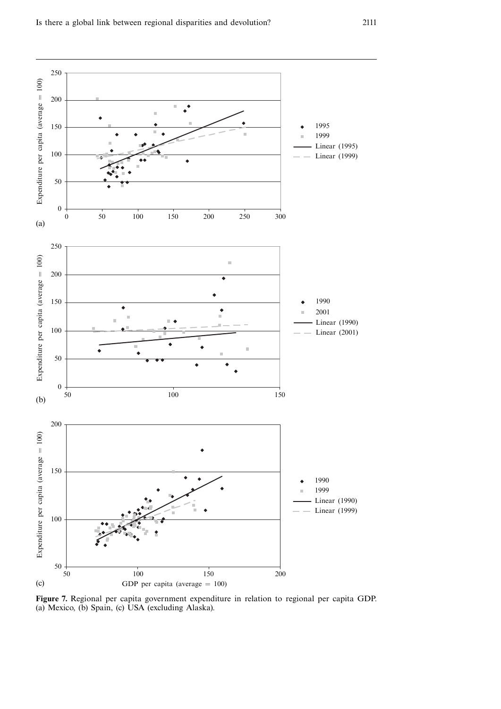

Figure 7. Regional per capita government expenditure in relation to regional per capita GDP. (a) Mexico, (b) Spain, (c) USA (excluding Alaska).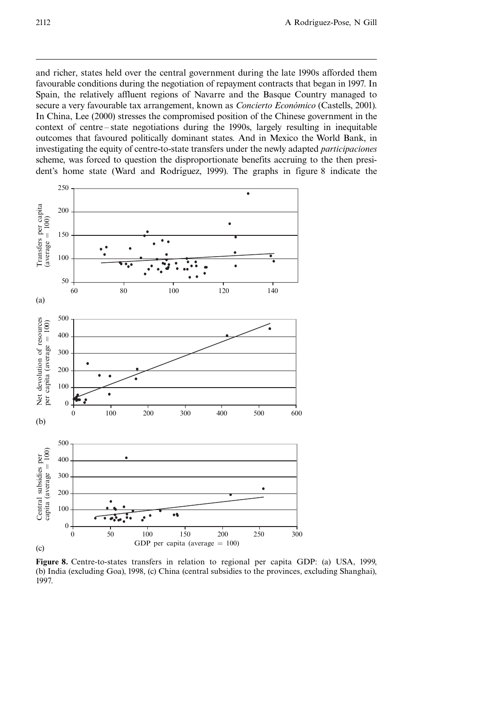and richer, states held over the central government during the late 1990s afforded them favourable conditions during the negotiation of repayment contracts that began in 1997. In Spain, the relatively affluent regions of Navarre and the Basque Country managed to secure a very favourable tax arrangement, known as Concierto Económico (Castells, 2001). In China, Lee (2000) stresses the compromised position of the Chinese government in the context of centre–state negotiations during the 1990s, largely resulting in inequitable outcomes that favoured politically dominant states. And in Mexico the World Bank, in investigating the equity of centre-to-state transfers under the newly adapted participaciones scheme, was forced to question the disproportionate benefits accruing to the then president's home state (Ward and Rodríguez, 1999). The graphs in figure 8 indicate the



Figure 8. Centre-to-states transfers in relation to regional per capita GDP: (a) USA, 1999, (b) India (excluding Goa), 1998, (c) China (central subsidies to the provinces, excluding Shanghai), 1997.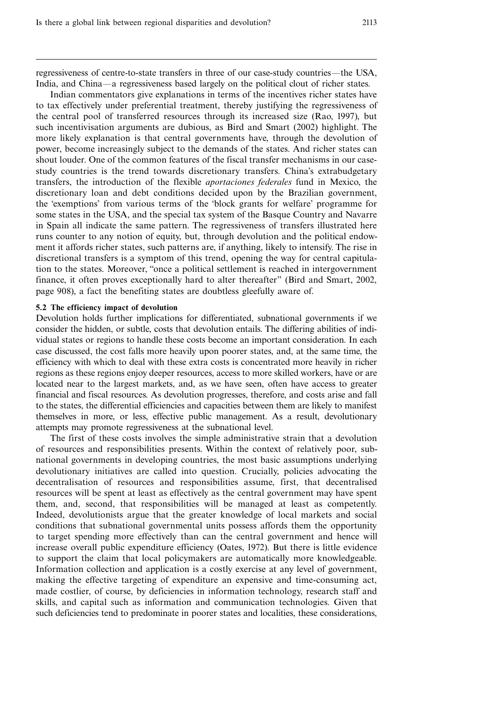regressiveness of centre-to-state transfers in three of our case-study countries—the USA, India, and China—a regressiveness based largely on the political clout of richer states.

Indian commentators give explanations in terms of the incentives richer states have to tax effectively under preferential treatment, thereby justifying the regressiveness of the central pool of transferred resources through its increased size (Rao, 1997), but such incentivisation arguments are dubious, as Bird and Smart (2002) highlight. The more likely explanation is that central governments have, through the devolution of power, become increasingly subject to the demands of the states. And richer states can shout louder. One of the common features of the fiscal transfer mechanisms in our casestudy countries is the trend towards discretionary transfers. China's extrabudgetary transfers, the introduction of the flexible aportaciones federales fund in Mexico, the discretionary loan and debt conditions decided upon by the Brazilian government, the `exemptions' from various terms of the `block grants for welfare' programme for some states in the USA, and the special tax system of the Basque Country and Navarre in Spain all indicate the same pattern. The regressiveness of transfers illustrated here runs counter to any notion of equity, but, through devolution and the political endowment it affords richer states, such patterns are, if anything, likely to intensify. The rise in discretional transfers is a symptom of this trend, opening the way for central capitulation to the states. Moreover, "once a political settlement is reached in intergovernment finance, it often proves exceptionally hard to alter thereafter'' (Bird and Smart, 2002, page 908), a fact the benefiting states are doubtless gleefully aware of.

#### 5.2 The efficiency impact of devolution

Devolution holds further implications for differentiated, subnational governments if we consider the hidden, or subtle, costs that devolution entails. The differing abilities of individual states or regions to handle these costs become an important consideration. In each case discussed, the cost falls more heavily upon poorer states, and, at the same time, the efficiency with which to deal with these extra costs is concentrated more heavily in richer regions as these regions enjoy deeper resources, access to more skilled workers, have or are located near to the largest markets, and, as we have seen, often have access to greater financial and fiscal resources. As devolution progresses, therefore, and costs arise and fall to the states, the differential efficiencies and capacities between them are likely to manifest themselves in more, or less, effective public management. As a result, devolutionary attempts may promote regressiveness at the subnational level.

The first of these costs involves the simple administrative strain that a devolution of resources and responsibilities presents. Within the context of relatively poor, subnational governments in developing countries, the most basic assumptions underlying devolutionary initiatives are called into question. Crucially, policies advocating the decentralisation of resources and responsibilities assume, first, that decentralised resources will be spent at least as effectively as the central government may have spent them, and, second, that responsibilities will be managed at least as competently. Indeed, devolutionists argue that the greater knowledge of local markets and social conditions that subnational governmental units possess affords them the opportunity to target spending more effectively than can the central government and hence will increase overall public expenditure efficiency (Oates, 1972). But there is little evidence to support the claim that local policymakers are automatically more knowledgeable. Information collection and application is a costly exercise at any level of government, making the effective targeting of expenditure an expensive and time-consuming act, made costlier, of course, by deficiencies in information technology, research staff and skills, and capital such as information and communication technologies. Given that such deficiencies tend to predominate in poorer states and localities, these considerations,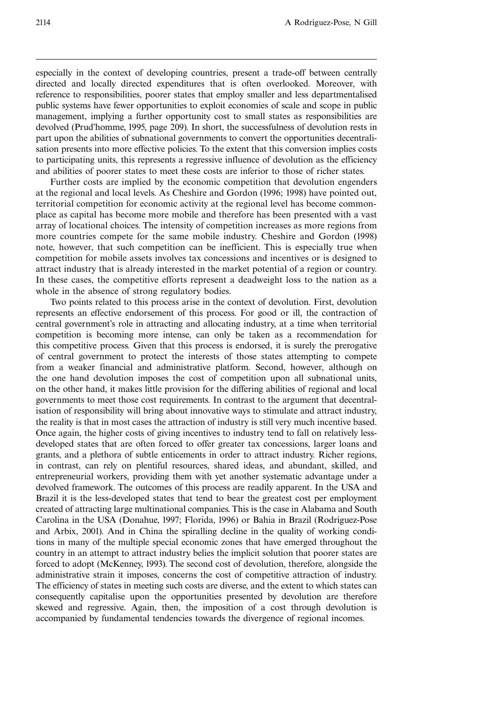especially in the context of developing countries, present a trade-off between centrally directed and locally directed expenditures that is often overlooked. Moreover, with reference to responsibilities, poorer states that employ smaller and less departmentalised public systems have fewer opportunities to exploit economies of scale and scope in public management, implying a further opportunity cost to small states as responsibilities are devolved (Prud'homme, 1995, page 209). In short, the successfulness of devolution rests in part upon the abilities of subnational governments to convert the opportunities decentralisation presents into more effective policies. To the extent that this conversion implies costs to participating units, this represents a regressive influence of devolution as the efficiency and abilities of poorer states to meet these costs are inferior to those of richer states.

Further costs are implied by the economic competition that devolution engenders at the regional and local levels. As Cheshire and Gordon (1996; 1998) have pointed out, territorial competition for economic activity at the regional level has become commonplace as capital has become more mobile and therefore has been presented with a vast array of locational choices. The intensity of competition increases as more regions from more countries compete for the same mobile industry. Cheshire and Gordon (1998) note, however, that such competition can be inefficient. This is especially true when competition for mobile assets involves tax concessions and incentives or is designed to attract industry that is already interested in the market potential of a region or country. In these cases, the competitive efforts represent a deadweight loss to the nation as a whole in the absence of strong regulatory bodies.

Two points related to this process arise in the context of devolution. First, devolution represents an effective endorsement of this process. For good or ill, the contraction of central government's role in attracting and allocating industry, at a time when territorial competition is becoming more intense, can only be taken as a recommendation for this competitive process. Given that this process is endorsed, it is surely the prerogative of central government to protect the interests of those states attempting to compete from a weaker financial and administrative platform. Second, however, although on the one hand devolution imposes the cost of competition upon all subnational units, on the other hand, it makes little provision for the differing abilities of regional and local governments to meet those cost requirements. In contrast to the argument that decentralisation of responsibility will bring about innovative ways to stimulate and attract industry, the reality is that in most cases the attraction of industry is still very much incentive based. Once again, the higher costs of giving incentives to industry tend to fall on relatively lessdeveloped states that are often forced to offer greater tax concessions, larger loans and grants, and a plethora of subtle enticements in order to attract industry. Richer regions, in contrast, can rely on plentiful resources, shared ideas, and abundant, skilled, and entrepreneurial workers, providing them with yet another systematic advantage under a devolved framework. The outcomes of this process are readily apparent. In the USA and Brazil it is the less-developed states that tend to bear the greatest cost per employment created of attracting large multinational companies. This is the case in Alabama and South Carolina in the USA (Donahue, 1997; Florida, 1996) or Bahia in Brazil (Rodríguez-Pose and Arbix, 2001). And in China the spiralling decline in the quality of working conditions in many of the multiple special economic zones that have emerged throughout the country in an attempt to attract industry belies the implicit solution that poorer states are forced to adopt (McKenney, 1993). The second cost of devolution, therefore, alongside the administrative strain it imposes, concerns the cost of competitive attraction of industry. The efficiency of states in meeting such costs are diverse, and the extent to which states can consequently capitalise upon the opportunities presented by devolution are therefore skewed and regressive. Again, then, the imposition of a cost through devolution is accompanied by fundamental tendencies towards the divergence of regional incomes.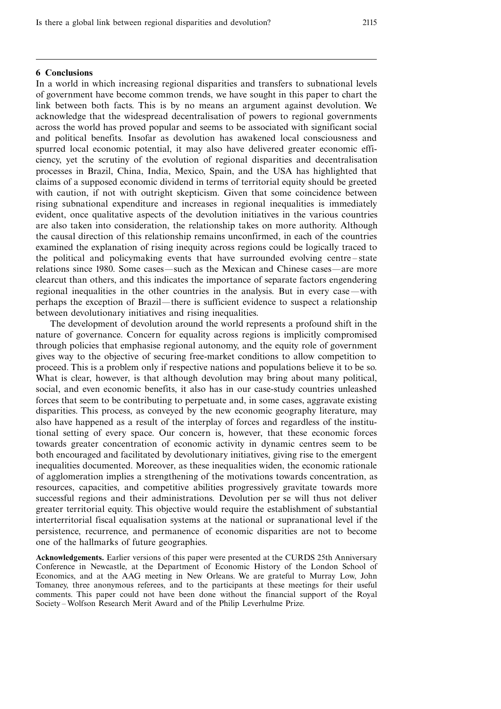#### 6 Conclusions

In a world in which increasing regional disparities and transfers to subnational levels of government have become common trends, we have sought in this paper to chart the link between both facts. This is by no means an argument against devolution. We acknowledge that the widespread decentralisation of powers to regional governments across the world has proved popular and seems to be associated with significant social and political benefits. Insofar as devolution has awakened local consciousness and spurred local economic potential, it may also have delivered greater economic efficiency, yet the scrutiny of the evolution of regional disparities and decentralisation processes in Brazil, China, India, Mexico, Spain, and the USA has highlighted that claims of a supposed economic dividend in terms of territorial equity should be greeted with caution, if not with outright skepticism. Given that some coincidence between rising subnational expenditure and increases in regional inequalities is immediately evident, once qualitative aspects of the devolution initiatives in the various countries are also taken into consideration, the relationship takes on more authority. Although the causal direction of this relationship remains unconfirmed, in each of the countries examined the explanation of rising inequity across regions could be logically traced to the political and policymaking events that have surrounded evolving centre ^ state relations since 1980. Some cases—such as the Mexican and Chinese cases—are more clearcut than others, and this indicates the importance of separate factors engendering regional inequalities in the other countries in the analysis. But in every case—with perhaps the exception of Brazil—there is sufficient evidence to suspect a relationship between devolutionary initiatives and rising inequalities.

The development of devolution around the world represents a profound shift in the nature of governance. Concern for equality across regions is implicitly compromised through policies that emphasise regional autonomy, and the equity role of government gives way to the objective of securing free-market conditions to allow competition to proceed. This is a problem only if respective nations and populations believe it to be so. What is clear, however, is that although devolution may bring about many political, social, and even economic benefits, it also has in our case-study countries unleashed forces that seem to be contributing to perpetuate and, in some cases, aggravate existing disparities. This process, as conveyed by the new economic geography literature, may also have happened as a result of the interplay of forces and regardless of the institutional setting of every space. Our concern is, however, that these economic forces towards greater concentration of economic activity in dynamic centres seem to be both encouraged and facilitated by devolutionary initiatives, giving rise to the emergent inequalities documented. Moreover, as these inequalities widen, the economic rationale of agglomeration implies a strengthening of the motivations towards concentration, as resources, capacities, and competitive abilities progressively gravitate towards more successful regions and their administrations. Devolution per se will thus not deliver greater territorial equity. This objective would require the establishment of substantial interterritorial fiscal equalisation systems at the national or supranational level if the persistence, recurrence, and permanence of economic disparities are not to become one of the hallmarks of future geographies.

Acknowledgements. Earlier versions of this paper were presented at the CURDS 25th Anniversary Conference in Newcastle, at the Department of Economic History of the London School of Economics, and at the AAG meeting in New Orleans. We are grateful to Murray Low, John Tomaney, three anonymous referees, and to the participants at these meetings for their useful comments. This paper could not have been done without the financial support of the Royal Society - Wolfson Research Merit Award and of the Philip Leverhulme Prize.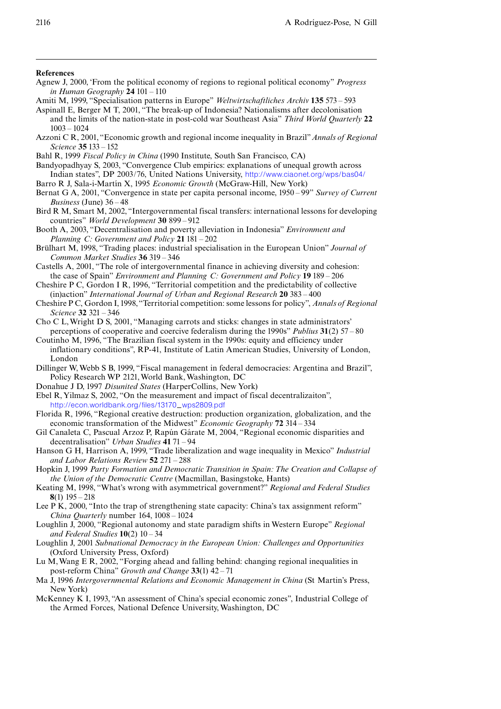#### References

- Agnew J, 2000, 'From the political economy of regions to regional political economy" Progress in Human Geography  $24 101 - 110$
- Amiti M, 1999, "Specialisation patterns in Europe" Weltwirtschaftliches Archiv 135 573 593 Aspinall E, Berger M T, 2001, "The break-up of Indonesia? Nationalisms after decolonisation and the limits of the nation-state in post-cold war Southeast Asia" Third World Quarterly 22  $1003 - 1024$
- Azzoni C R, 2001, "Economic growth and regional income inequality in Brazil" Annals of Regional Science 35 133 - 152
- Bahl R, 1999 Fiscal Policy in China (1990 Institute, South San Francisco, CA)
- Bandyopadhyay S, 2003, "Convergence Club empirics: explanations of unequal growth across Indian states'', DP 2003/76, United Nations University, <http://www.ciaonet.org/wps/bas04/>
- Barro R J, Sala-i-Martín X, 1995 Economic Growth (McGraw-Hill, New York)
- Bernat G A, 2001, "Convergence in state per capita personal income, 1950 99" Survey of Current *Business* (June)  $36 - 48$
- Bird R M, Smart M, 2002, "Intergovernmental fiscal transfers: international lessons for developing countries" World Development 30 899-912
- Booth A, 2003, "Decentralisation and poverty alleviation in Indonesia" *Environment and* Planning C: Government and Policy  $21$  181 - 202
- Brülhart M, 1998, "Trading places: industrial specialisation in the European Union" Journal of Common Market Studies 36 319 - 346
- Castells A, 2001, "The role of intergovernmental finance in achieving diversity and cohesion: the case of Spain" *Environment and Planning C: Government and Policy* 19  $189 - 206$
- Cheshire P C, Gordon I R, 1996, "Territorial competition and the predictability of collective (in)action" International Journal of Urban and Regional Research  $20\,383 - 400$
- Cheshire P C, Gordon I, 1998, "Territorial competition: some lessons for policy", Annals of Regional Science **32** 321 – 346
- Cho C L, Wright D S, 2001, "Managing carrots and sticks: changes in state administrators' perceptions of cooperative and coercive federalism during the 1990s" Publius  $31(2)$  57 – 80
- Coutinho M, 1996, "The Brazilian fiscal system in the 1990s: equity and efficiency under inflationary conditions'', RP-41, Institute of Latin American Studies, University of London, London
- Dillinger W, Webb S B, 1999, "Fiscal management in federal democracies: Argentina and Brazil", Policy Research WP 2121,World Bank,Washington, DC
- Donahue J D, 1997 Disunited States (HarperCollins, New York)
- Ebel R, Yilmaz S, 2002, "On the measurement and impact of fiscal decentralizaiton", [http://econ.worldbank.org/files/13170](http://econ.worldbank.org/files/13170_wps2809.pdf)\_[wps2809.pdf](http://econ.worldbank.org/files/13170_wps2809.pdf)
- Florida R, 1996, "Regional creative destruction: production organization, globalization, and the economic transformation of the Midwest" Economic Geography 72 314 - 334
- Gil Canaleta C, Pascual Arzoz P, Rapún Gárate M, 2004, "Regional economic disparities and decentralisation" Urban Studies 41 71 - 94
- Hanson G H, Harrison A, 1999, "Trade liberalization and wage inequality in Mexico" *Industrial* and Labor Relations Review  $52$  271 - 288
- Hopkin J, 1999 Party Formation and Democratic Transition in Spain: The Creation and Collapse of the Union of the Democratic Centre (Macmillan, Basingstoke, Hants)
- Keating M, 1998, "What's wrong with asymmetrical government?" Regional and Federal Studies 8(1)  $195 - 218$
- Lee  $P K$ , 2000, "Into the trap of strengthening state capacity: China's tax assignment reform" China Quarterly number  $164$ ,  $1008 - 1024$
- Loughlin J, 2000, "Regional autonomy and state paradigm shifts in Western Europe" Regional and Federal Studies  $10(2)$  10 - 34
- Loughlin J, 2001 Subnational Democracy in the European Union: Challenges and Opportunities (Oxford University Press, Oxford)
- Lu M, Wang  $E \, R$ , 2002, "Forging ahead and falling behind: changing regional inequalities in post-reform China" Growth and Change  $33(1)$  42 - 71
- Ma J, 1996 Intergovernmental Relations and Economic Management in China (St Martin's Press, New York)
- McKenney K I, 1993, "An assessment of China's special economic zones", Industrial College of the Armed Forces, National Defence University,Washington, DC